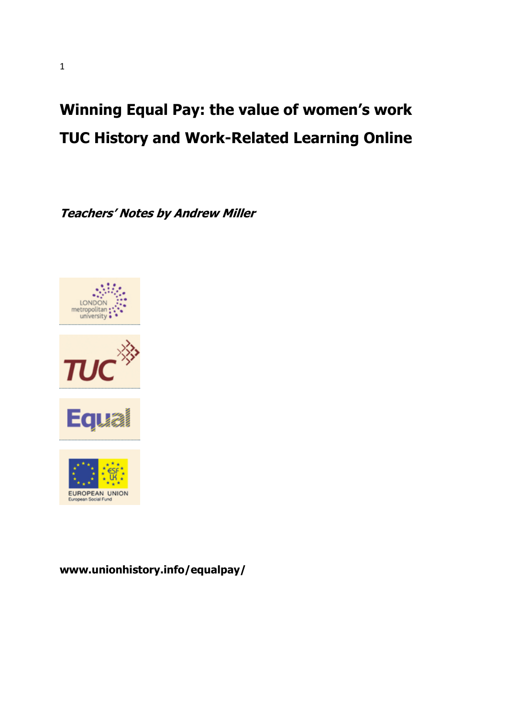# Winning Equal Pay: the value of women's work TUC History and Work-Related Learning Online

Teachers' Notes by Andrew Miller





### www.unionhistory.info/equalpay/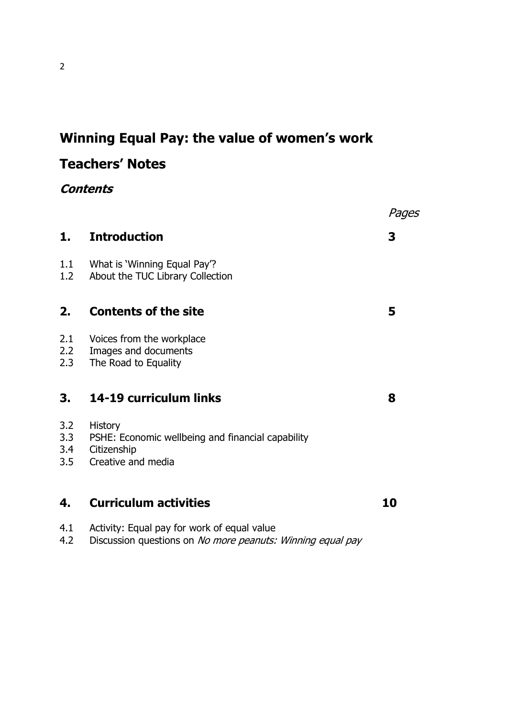# Winning Equal Pay: the value of women's work

# Teachers' Notes

**Contents** 

|                          |                                                                                                          | Pages |
|--------------------------|----------------------------------------------------------------------------------------------------------|-------|
| 1.                       | <b>Introduction</b>                                                                                      | 3     |
| 1.1<br>1.2               | What is 'Winning Equal Pay'?<br>About the TUC Library Collection                                         |       |
| 2.                       | <b>Contents of the site</b>                                                                              | 5     |
| 2.1<br>2.2<br>2.3        | Voices from the workplace<br>Images and documents<br>The Road to Equality                                |       |
| 3.                       | 14-19 curriculum links                                                                                   | 8     |
| 3.2<br>3.3<br>3.4<br>3.5 | <b>History</b><br>PSHE: Economic wellbeing and financial capability<br>Citizenship<br>Creative and media |       |
| 4.                       | <b>Curriculum activities</b>                                                                             | 10    |
|                          | A 1 Activity Faust pay for work of caush value                                                           |       |

4.1 Activity: Equal pay for work of equal value<br>4.2 Discussion questions on *No more peanuts:* Discussion questions on No more peanuts: Winning equal pay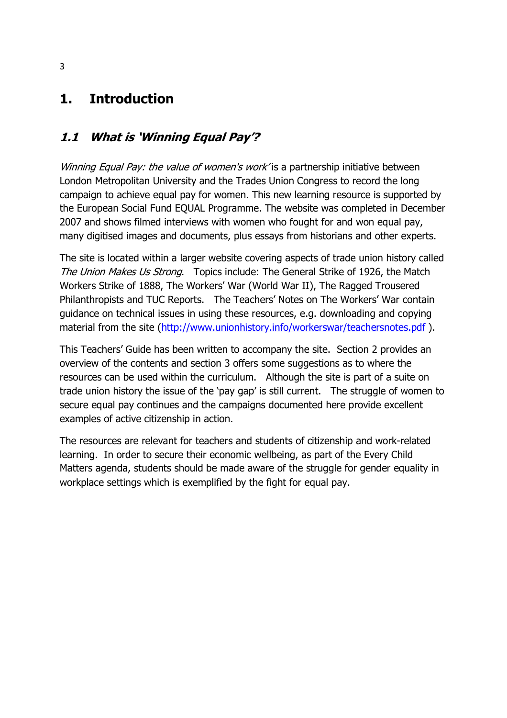# 1. Introduction

# 1.1 What is 'Winning Equal Pay'?

Winning Equal Pay: the value of women's work' is a partnership initiative between London Metropolitan University and the Trades Union Congress to record the long campaign to achieve equal pay for women. This new learning resource is supported by the European Social Fund EQUAL Programme. The website was completed in December 2007 and shows filmed interviews with women who fought for and won equal pay, many digitised images and documents, plus essays from historians and other experts.

The site is located within a larger website covering aspects of trade union history called The Union Makes Us Strong. Topics include: The General Strike of 1926, the Match Workers Strike of 1888, The Workers' War (World War II), The Ragged Trousered Philanthropists and TUC Reports. The Teachers' Notes on The Workers' War contain guidance on technical issues in using these resources, e.g. downloading and copying material from the site (http://www.unionhistory.info/workerswar/teachersnotes.pdf ).

This Teachers' Guide has been written to accompany the site. Section 2 provides an overview of the contents and section 3 offers some suggestions as to where the resources can be used within the curriculum. Although the site is part of a suite on trade union history the issue of the 'pay gap' is still current. The struggle of women to secure equal pay continues and the campaigns documented here provide excellent examples of active citizenship in action.

The resources are relevant for teachers and students of citizenship and work-related learning. In order to secure their economic wellbeing, as part of the Every Child Matters agenda, students should be made aware of the struggle for gender equality in workplace settings which is exemplified by the fight for equal pay.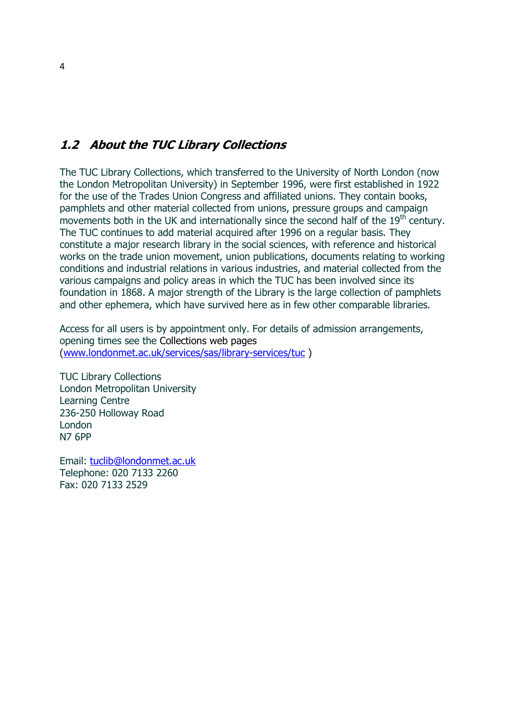### 1.2 About the TUC Library Collections

The TUC Library Collections, which transferred to the University of North London (now the London Metropolitan University) in September 1996, were first established in 1922 for the use of the Trades Union Congress and affiliated unions. They contain books, pamphlets and other material collected from unions, pressure groups and campaign movements both in the UK and internationally since the second half of the 19<sup>th</sup> century. The TUC continues to add material acquired after 1996 on a regular basis. They constitute a major research library in the social sciences, with reference and historical works on the trade union movement, union publications, documents relating to working conditions and industrial relations in various industries, and material collected from the various campaigns and policy areas in which the TUC has been involved since its foundation in 1868. A major strength of the Library is the large collection of pamphlets and other ephemera, which have survived here as in few other comparable libraries.

Access for all users is by appointment only. For details of admission arrangements, opening times see the Collections web pages (www.londonmet.ac.uk/services/sas/library-services/tuc )

TUC Library Collections London Metropolitan University Learning Centre 236-250 Holloway Road London N7 6PP

Email: tuclib@londonmet.ac.uk Telephone: 020 7133 2260 Fax: 020 7133 2529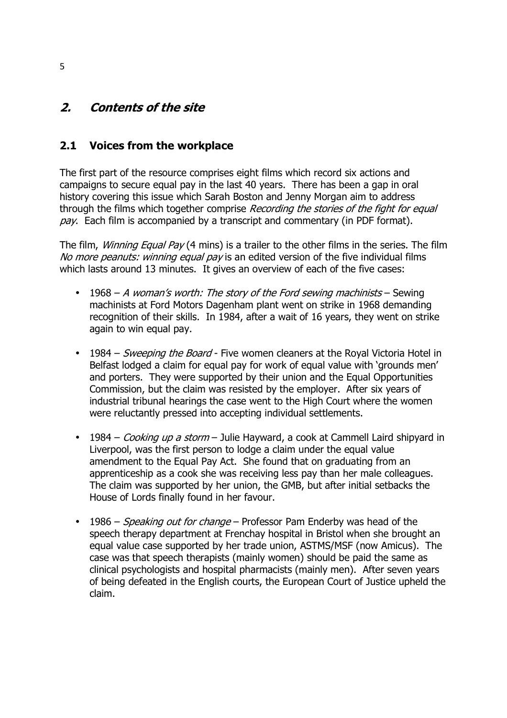# 2. Contents of the site

#### 2.1 Voices from the workplace

The first part of the resource comprises eight films which record six actions and campaigns to secure equal pay in the last 40 years. There has been a gap in oral history covering this issue which Sarah Boston and Jenny Morgan aim to address through the films which together comprise Recording the stories of the fight for equal pay. Each film is accompanied by a transcript and commentary (in PDF format).

The film, *Winning Equal Pay* (4 mins) is a trailer to the other films in the series. The film No more peanuts: winning equal pay is an edited version of the five individual films which lasts around 13 minutes. It gives an overview of each of the five cases:

- 1968 A woman's worth: The story of the Ford sewing machinists Sewing machinists at Ford Motors Dagenham plant went on strike in 1968 demanding recognition of their skills. In 1984, after a wait of 16 years, they went on strike again to win equal pay.
- 1984 Sweeping the Board Five women cleaners at the Royal Victoria Hotel in Belfast lodged a claim for equal pay for work of equal value with 'grounds men' and porters. They were supported by their union and the Equal Opportunities Commission, but the claim was resisted by the employer. After six years of industrial tribunal hearings the case went to the High Court where the women were reluctantly pressed into accepting individual settlements.
- 1984 Cooking up a storm Julie Hayward, a cook at Cammell Laird shipyard in Liverpool, was the first person to lodge a claim under the equal value amendment to the Equal Pay Act. She found that on graduating from an apprenticeship as a cook she was receiving less pay than her male colleagues. The claim was supported by her union, the GMB, but after initial setbacks the House of Lords finally found in her favour.
- 1986 Speaking out for change Professor Pam Enderby was head of the speech therapy department at Frenchay hospital in Bristol when she brought an equal value case supported by her trade union, ASTMS/MSF (now Amicus). The case was that speech therapists (mainly women) should be paid the same as clinical psychologists and hospital pharmacists (mainly men). After seven years of being defeated in the English courts, the European Court of Justice upheld the claim.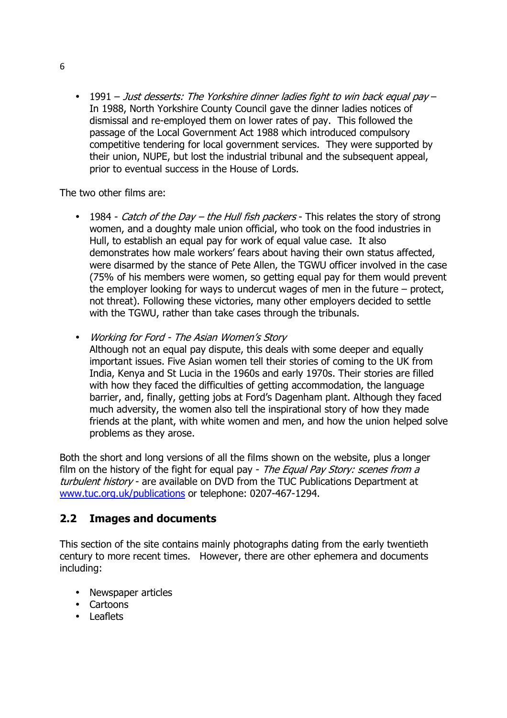• 1991 – Just desserts: The Yorkshire dinner ladies fight to win back equal pay – In 1988, North Yorkshire County Council gave the dinner ladies notices of dismissal and re-employed them on lower rates of pay. This followed the passage of the Local Government Act 1988 which introduced compulsory competitive tendering for local government services. They were supported by their union, NUPE, but lost the industrial tribunal and the subsequent appeal, prior to eventual success in the House of Lords.

The two other films are:

- 1984 Catch of the Day the Hull fish packers This relates the story of strong women, and a doughty male union official, who took on the food industries in Hull, to establish an equal pay for work of equal value case. It also demonstrates how male workers' fears about having their own status affected, were disarmed by the stance of Pete Allen, the TGWU officer involved in the case (75% of his members were women, so getting equal pay for them would prevent the employer looking for ways to undercut wages of men in the future – protect, not threat). Following these victories, many other employers decided to settle with the TGWU, rather than take cases through the tribunals.
- Working for Ford The Asian Women's Story Although not an equal pay dispute, this deals with some deeper and equally important issues. Five Asian women tell their stories of coming to the UK from India, Kenya and St Lucia in the 1960s and early 1970s. Their stories are filled with how they faced the difficulties of getting accommodation, the language barrier, and, finally, getting jobs at Ford's Dagenham plant. Although they faced much adversity, the women also tell the inspirational story of how they made friends at the plant, with white women and men, and how the union helped solve problems as they arose.

Both the short and long versions of all the films shown on the website, plus a longer film on the history of the fight for equal pay - The Equal Pay Story: scenes from  $a$ turbulent history - are available on DVD from the TUC Publications Department at www.tuc.org.uk/publications or telephone: 0207-467-1294.

#### 2.2 Images and documents

This section of the site contains mainly photographs dating from the early twentieth century to more recent times. However, there are other ephemera and documents including:

- Newspaper articles
- Cartoons
- Leaflets

6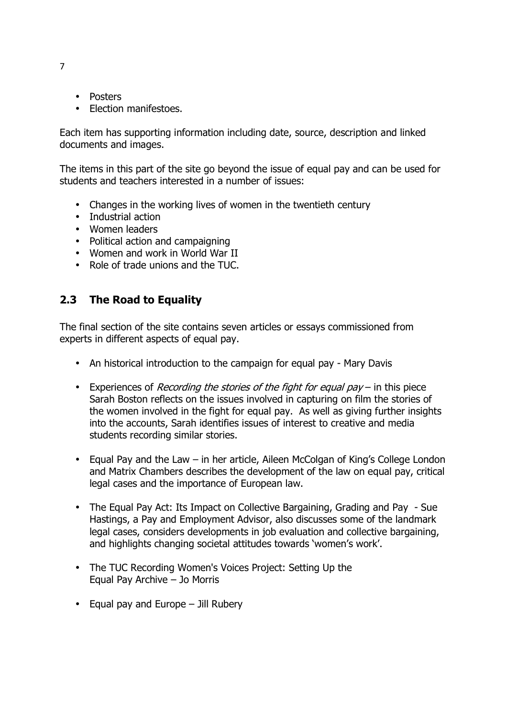- Posters
- Election manifestoes.

Each item has supporting information including date, source, description and linked documents and images.

The items in this part of the site go beyond the issue of equal pay and can be used for students and teachers interested in a number of issues:

- Changes in the working lives of women in the twentieth century
- Industrial action
- Women leaders
- Political action and campaigning
- Women and work in World War II
- Role of trade unions and the TUC.

#### 2.3 The Road to Equality

The final section of the site contains seven articles or essays commissioned from experts in different aspects of equal pay.

- An historical introduction to the campaign for equal pay Mary Davis
- Experiences of *Recording the stories of the fight for equal pay* in this piece Sarah Boston reflects on the issues involved in capturing on film the stories of the women involved in the fight for equal pay. As well as giving further insights into the accounts, Sarah identifies issues of interest to creative and media students recording similar stories.
- Equal Pay and the Law in her article, Aileen McColgan of King's College London and Matrix Chambers describes the development of the law on equal pay, critical legal cases and the importance of European law.
- The Equal Pay Act: Its Impact on Collective Bargaining, Grading and Pay Sue Hastings, a Pay and Employment Advisor, also discusses some of the landmark legal cases, considers developments in job evaluation and collective bargaining, and highlights changing societal attitudes towards 'women's work'.
- The TUC Recording Women's Voices Project: Setting Up the Equal Pay Archive – Jo Morris
- Equal pay and Europe  $-$  Jill Rubery

7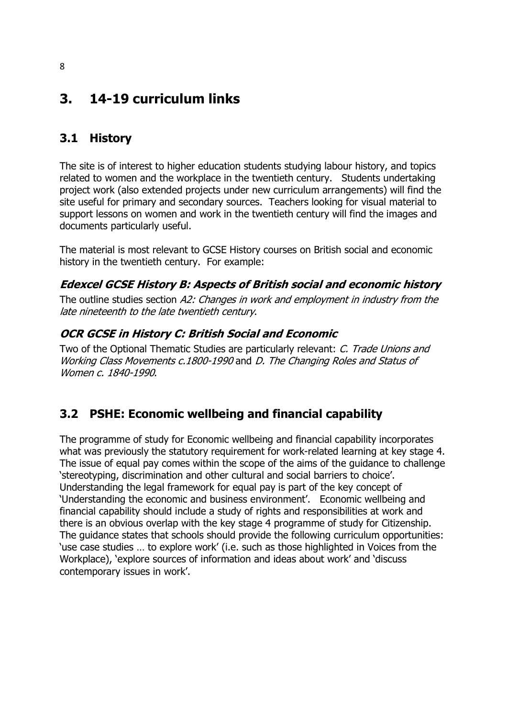# 3. 14-19 curriculum links

# 3.1 History

The site is of interest to higher education students studying labour history, and topics related to women and the workplace in the twentieth century. Students undertaking project work (also extended projects under new curriculum arrangements) will find the site useful for primary and secondary sources. Teachers looking for visual material to support lessons on women and work in the twentieth century will find the images and documents particularly useful.

The material is most relevant to GCSE History courses on British social and economic history in the twentieth century. For example:

#### Edexcel GCSE History B: Aspects of British social and economic history

The outline studies section A2: Changes in work and employment in industry from the late nineteenth to the late twentieth century.

#### OCR GCSE in History C: British Social and Economic

Two of the Optional Thematic Studies are particularly relevant: C. Trade Unions and Working Class Movements c.1800-1990 and D. The Changing Roles and Status of Women c. 1840-1990.

### 3.2 PSHE: Economic wellbeing and financial capability

The programme of study for Economic wellbeing and financial capability incorporates what was previously the statutory requirement for work-related learning at key stage 4. The issue of equal pay comes within the scope of the aims of the guidance to challenge 'stereotyping, discrimination and other cultural and social barriers to choice'. Understanding the legal framework for equal pay is part of the key concept of 'Understanding the economic and business environment'. Economic wellbeing and financial capability should include a study of rights and responsibilities at work and there is an obvious overlap with the key stage 4 programme of study for Citizenship. The guidance states that schools should provide the following curriculum opportunities: 'use case studies … to explore work' (i.e. such as those highlighted in Voices from the Workplace), 'explore sources of information and ideas about work' and 'discuss contemporary issues in work'.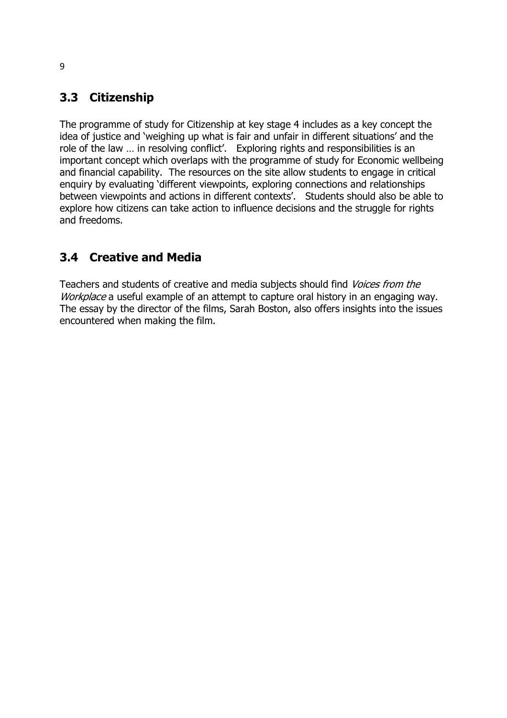# 3.3 Citizenship

The programme of study for Citizenship at key stage 4 includes as a key concept the idea of justice and 'weighing up what is fair and unfair in different situations' and the role of the law … in resolving conflict'. Exploring rights and responsibilities is an important concept which overlaps with the programme of study for Economic wellbeing and financial capability. The resources on the site allow students to engage in critical enquiry by evaluating 'different viewpoints, exploring connections and relationships between viewpoints and actions in different contexts'. Students should also be able to explore how citizens can take action to influence decisions and the struggle for rights and freedoms.

# 3.4 Creative and Media

Teachers and students of creative and media subjects should find Voices from the Workplace a useful example of an attempt to capture oral history in an engaging way. The essay by the director of the films, Sarah Boston, also offers insights into the issues encountered when making the film.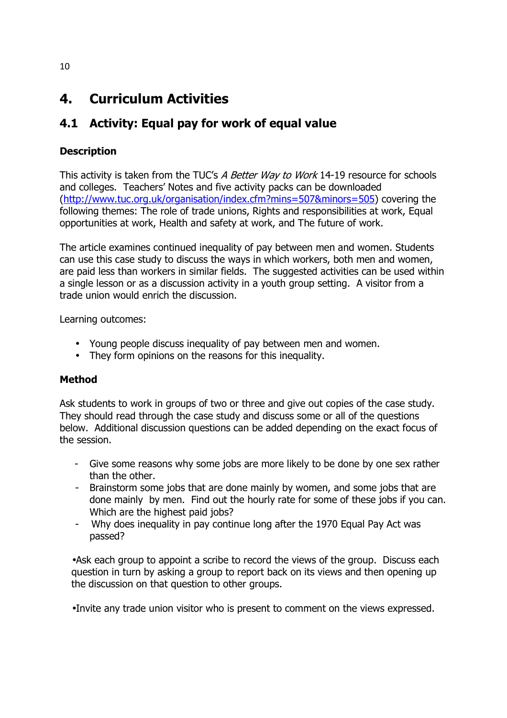# 4. Curriculum Activities

# 4.1 Activity: Equal pay for work of equal value

#### **Description**

This activity is taken from the TUC's A Better Way to Work 14-19 resource for schools and colleges. Teachers' Notes and five activity packs can be downloaded (http://www.tuc.org.uk/organisation/index.cfm?mins=507&minors=505) covering the following themes: The role of trade unions, Rights and responsibilities at work, Equal opportunities at work, Health and safety at work, and The future of work.

The article examines continued inequality of pay between men and women. Students can use this case study to discuss the ways in which workers, both men and women, are paid less than workers in similar fields. The suggested activities can be used within a single lesson or as a discussion activity in a youth group setting. A visitor from a trade union would enrich the discussion.

Learning outcomes:

- Young people discuss inequality of pay between men and women.
- They form opinions on the reasons for this inequality.

#### Method

Ask students to work in groups of two or three and give out copies of the case study. They should read through the case study and discuss some or all of the questions below. Additional discussion questions can be added depending on the exact focus of the session.

- Give some reasons why some jobs are more likely to be done by one sex rather than the other.
- Brainstorm some jobs that are done mainly by women, and some jobs that are done mainly by men. Find out the hourly rate for some of these jobs if you can. Which are the highest paid jobs?
- Why does inequality in pay continue long after the 1970 Equal Pay Act was passed?

•Ask each group to appoint a scribe to record the views of the group. Discuss each question in turn by asking a group to report back on its views and then opening up the discussion on that question to other groups.

•Invite any trade union visitor who is present to comment on the views expressed.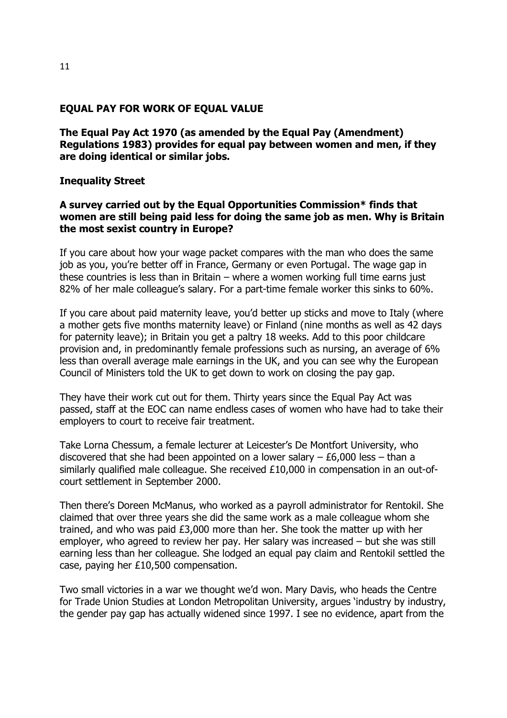#### EQUAL PAY FOR WORK OF EQUAL VALUE

The Equal Pay Act 1970 (as amended by the Equal Pay (Amendment) Regulations 1983) provides for equal pay between women and men, if they are doing identical or similar jobs.

#### Inequality Street

#### A survey carried out by the Equal Opportunities Commission\* finds that women are still being paid less for doing the same job as men. Why is Britain the most sexist country in Europe?

If you care about how your wage packet compares with the man who does the same job as you, you're better off in France, Germany or even Portugal. The wage gap in these countries is less than in Britain – where a women working full time earns just 82% of her male colleague's salary. For a part-time female worker this sinks to 60%.

If you care about paid maternity leave, you'd better up sticks and move to Italy (where a mother gets five months maternity leave) or Finland (nine months as well as 42 days for paternity leave); in Britain you get a paltry 18 weeks. Add to this poor childcare provision and, in predominantly female professions such as nursing, an average of 6% less than overall average male earnings in the UK, and you can see why the European Council of Ministers told the UK to get down to work on closing the pay gap.

They have their work cut out for them. Thirty years since the Equal Pay Act was passed, staff at the EOC can name endless cases of women who have had to take their employers to court to receive fair treatment.

Take Lorna Chessum, a female lecturer at Leicester's De Montfort University, who discovered that she had been appointed on a lower salary  $- E6,000$  less  $-$  than a similarly qualified male colleague. She received £10,000 in compensation in an out-ofcourt settlement in September 2000.

Then there's Doreen McManus, who worked as a payroll administrator for Rentokil. She claimed that over three years she did the same work as a male colleague whom she trained, and who was paid £3,000 more than her. She took the matter up with her employer, who agreed to review her pay. Her salary was increased – but she was still earning less than her colleague. She lodged an equal pay claim and Rentokil settled the case, paying her £10,500 compensation.

Two small victories in a war we thought we'd won. Mary Davis, who heads the Centre for Trade Union Studies at London Metropolitan University, argues 'industry by industry, the gender pay gap has actually widened since 1997. I see no evidence, apart from the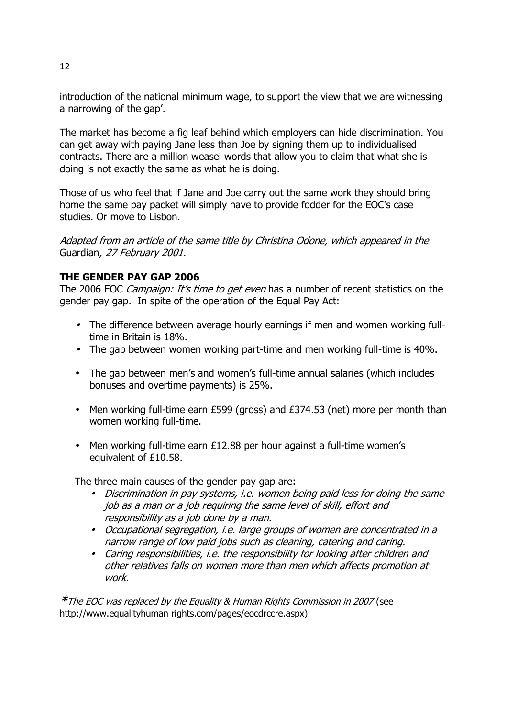introduction of the national minimum wage, to support the view that we are witnessing a narrowing of the gap'.

The market has become a fig leaf behind which employers can hide discrimination. You can get away with paying Jane less than Joe by signing them up to individualised contracts. There are a million weasel words that allow you to claim that what she is doing is not exactly the same as what he is doing.

Those of us who feel that if Jane and Joe carry out the same work they should bring home the same pay packet will simply have to provide fodder for the EOC's case studies. Or move to Lisbon.

Adapted from an article of the same title by Christina Odone, which appeared in the Guardian, 27 February 2001.

#### THE GENDER PAY GAP 2006

The 2006 EOC *Campaign: It's time to get even* has a number of recent statistics on the gender pay gap. In spite of the operation of the Equal Pay Act:

- The difference between average hourly earnings if men and women working fulltime in Britain is 18%.
- The gap between women working part-time and men working full-time is 40%.
- The gap between men's and women's full-time annual salaries (which includes bonuses and overtime payments) is 25%.
- Men working full-time earn £599 (gross) and £374.53 (net) more per month than women working full-time.
- Men working full-time earn £12.88 per hour against a full-time women's equivalent of £10.58.

The three main causes of the gender pay gap are:

- Discrimination in pay systems, i.e. women being paid less for doing the same job as a man or a job requiring the same level of skill, effort and responsibility as a job done by a man.
- Occupational segregation, i.e. large groups of women are concentrated in a narrow range of low paid jobs such as cleaning, catering and caring.
- Caring responsibilities, i.e. the responsibility for looking after children and other relatives falls on women more than men which affects promotion at work.

\*The EOC was replaced by the Equality & Human Rights Commission in 2007 (see http://www.equalityhuman rights.com/pages/eocdrccre.aspx)

12